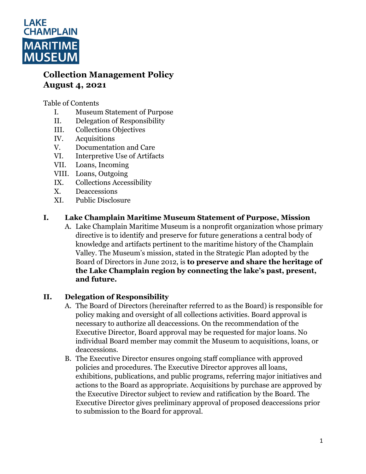

# **Collection Management Policy August 4, 2021**

Table of Contents

- I. Museum Statement of Purpose
- II. Delegation of Responsibility
- III. Collections Objectives
- IV. Acquisitions
- V. Documentation and Care
- VI. Interpretive Use of Artifacts
- VII. Loans, Incoming
- VIII. Loans, Outgoing
- IX. Collections Accessibility
- X. Deaccessions
- XI. Public Disclosure

### **I. Lake Champlain Maritime Museum Statement of Purpose, Mission**

A. Lake Champlain Maritime Museum is a nonprofit organization whose primary directive is to identify and preserve for future generations a central body of knowledge and artifacts pertinent to the maritime history of the Champlain Valley. The Museum's mission, stated in the Strategic Plan adopted by the Board of Directors in June 2012, is **to preserve and share the heritage of the Lake Champlain region by connecting the lake's past, present, and future.** 

### **II. Delegation of Responsibility**

- A. The Board of Directors (hereinafter referred to as the Board) is responsible for policy making and oversight of all collections activities. Board approval is necessary to authorize all deaccessions. On the recommendation of the Executive Director, Board approval may be requested for major loans. No individual Board member may commit the Museum to acquisitions, loans, or deaccessions.
- B. The Executive Director ensures ongoing staff compliance with approved policies and procedures. The Executive Director approves all loans, exhibitions, publications, and public programs, referring major initiatives and actions to the Board as appropriate. Acquisitions by purchase are approved by the Executive Director subject to review and ratification by the Board. The Executive Director gives preliminary approval of proposed deaccessions prior to submission to the Board for approval.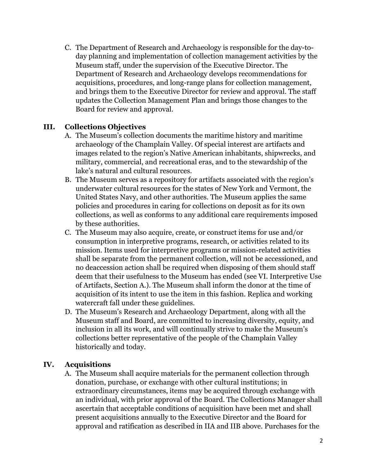C. The Department of Research and Archaeology is responsible for the day-today planning and implementation of collection management activities by the Museum staff, under the supervision of the Executive Director. The Department of Research and Archaeology develops recommendations for acquisitions, procedures, and long-range plans for collection management, and brings them to the Executive Director for review and approval. The staff updates the Collection Management Plan and brings those changes to the Board for review and approval.

#### **III. Collections Objectives**

- A. The Museum's collection documents the maritime history and maritime archaeology of the Champlain Valley. Of special interest are artifacts and images related to the region's Native American inhabitants, shipwrecks, and military, commercial, and recreational eras, and to the stewardship of the lake's natural and cultural resources.
- B. The Museum serves as a repository for artifacts associated with the region's underwater cultural resources for the states of New York and Vermont, the United States Navy, and other authorities. The Museum applies the same policies and procedures in caring for collections on deposit as for its own collections, as well as conforms to any additional care requirements imposed by these authorities.
- C. The Museum may also acquire, create, or construct items for use and/or consumption in interpretive programs, research, or activities related to its mission. Items used for interpretive programs or mission-related activities shall be separate from the permanent collection, will not be accessioned, and no deaccession action shall be required when disposing of them should staff deem that their usefulness to the Museum has ended (see VI. Interpretive Use of Artifacts, Section A.). The Museum shall inform the donor at the time of acquisition of its intent to use the item in this fashion. Replica and working watercraft fall under these guidelines.
- D. The Museum's Research and Archaeology Department, along with all the Museum staff and Board, are committed to increasing diversity, equity, and inclusion in all its work, and will continually strive to make the Museum's collections better representative of the people of the Champlain Valley historically and today.

### **IV. Acquisitions**

A. The Museum shall acquire materials for the permanent collection through donation, purchase, or exchange with other cultural institutions; in extraordinary circumstances, items may be acquired through exchange with an individual, with prior approval of the Board. The Collections Manager shall ascertain that acceptable conditions of acquisition have been met and shall present acquisitions annually to the Executive Director and the Board for approval and ratification as described in IIA and IIB above. Purchases for the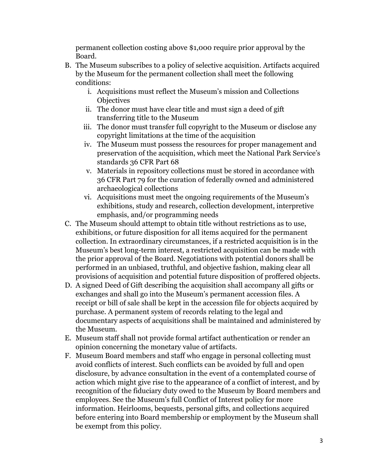permanent collection costing above \$1,000 require prior approval by the Board.

- B. The Museum subscribes to a policy of selective acquisition. Artifacts acquired by the Museum for the permanent collection shall meet the following conditions:
	- i. Acquisitions must reflect the Museum's mission and Collections **Objectives**
	- ii. The donor must have clear title and must sign a deed of gift transferring title to the Museum
	- iii. The donor must transfer full copyright to the Museum or disclose any copyright limitations at the time of the acquisition
	- iv. The Museum must possess the resources for proper management and preservation of the acquisition, which meet the National Park Service's standards 36 CFR Part 68
	- v. Materials in repository collections must be stored in accordance with 36 CFR Part 79 for the curation of federally owned and administered archaeological collections
	- vi. Acquisitions must meet the ongoing requirements of the Museum's exhibitions, study and research, collection development, interpretive emphasis, and/or programming needs
- C. The Museum should attempt to obtain title without restrictions as to use, exhibitions, or future disposition for all items acquired for the permanent collection. In extraordinary circumstances, if a restricted acquisition is in the Museum's best long-term interest, a restricted acquisition can be made with the prior approval of the Board. Negotiations with potential donors shall be performed in an unbiased, truthful, and objective fashion, making clear all provisions of acquisition and potential future disposition of proffered objects.
- D. A signed Deed of Gift describing the acquisition shall accompany all gifts or exchanges and shall go into the Museum's permanent accession files. A receipt or bill of sale shall be kept in the accession file for objects acquired by purchase. A permanent system of records relating to the legal and documentary aspects of acquisitions shall be maintained and administered by the Museum.
- E. Museum staff shall not provide formal artifact authentication or render an opinion concerning the monetary value of artifacts.
- F. Museum Board members and staff who engage in personal collecting must avoid conflicts of interest. Such conflicts can be avoided by full and open disclosure, by advance consultation in the event of a contemplated course of action which might give rise to the appearance of a conflict of interest, and by recognition of the fiduciary duty owed to the Museum by Board members and employees. See the Museum's full Conflict of Interest policy for more information. Heirlooms, bequests, personal gifts, and collections acquired before entering into Board membership or employment by the Museum shall be exempt from this policy.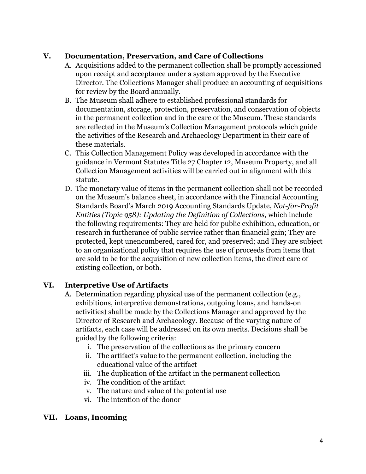#### **V. Documentation, Preservation, and Care of Collections**

- A. Acquisitions added to the permanent collection shall be promptly accessioned upon receipt and acceptance under a system approved by the Executive Director. The Collections Manager shall produce an accounting of acquisitions for review by the Board annually.
- B. The Museum shall adhere to established professional standards for documentation, storage, protection, preservation, and conservation of objects in the permanent collection and in the care of the Museum. These standards are reflected in the Museum's Collection Management protocols which guide the activities of the Research and Archaeology Department in their care of these materials.
- C. This Collection Management Policy was developed in accordance with the guidance in Vermont Statutes Title 27 Chapter 12, Museum Property, and all Collection Management activities will be carried out in alignment with this statute.
- D. The monetary value of items in the permanent collection shall not be recorded on the Museum's balance sheet, in accordance with the Financial Accounting Standards Board's March 2019 Accounting Standards Update, *Not-for-Profit Entities (Topic 958): Updating the Definition of Collections,* which include the following requirements: They are held for public exhibition, education, or research in furtherance of public service rather than financial gain; They are protected, kept unencumbered, cared for, and preserved; and They are subject to an organizational policy that requires the use of proceeds from items that are sold to be for the acquisition of new collection items, the direct care of existing collection, or both.

### **VI. Interpretive Use of Artifacts**

- A. Determination regarding physical use of the permanent collection (e.g., exhibitions, interpretive demonstrations, outgoing loans, and hands-on activities) shall be made by the Collections Manager and approved by the Director of Research and Archaeology. Because of the varying nature of artifacts, each case will be addressed on its own merits. Decisions shall be guided by the following criteria:
	- i. The preservation of the collections as the primary concern
	- ii. The artifact's value to the permanent collection, including the educational value of the artifact
	- iii. The duplication of the artifact in the permanent collection
	- iv. The condition of the artifact
	- v. The nature and value of the potential use
	- vi. The intention of the donor

#### **VII. Loans, Incoming**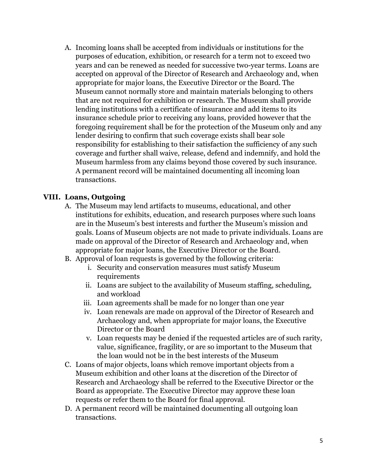A. Incoming loans shall be accepted from individuals or institutions for the purposes of education, exhibition, or research for a term not to exceed two years and can be renewed as needed for successive two-year terms. Loans are accepted on approval of the Director of Research and Archaeology and, when appropriate for major loans, the Executive Director or the Board. The Museum cannot normally store and maintain materials belonging to others that are not required for exhibition or research. The Museum shall provide lending institutions with a certificate of insurance and add items to its insurance schedule prior to receiving any loans, provided however that the foregoing requirement shall be for the protection of the Museum only and any lender desiring to confirm that such coverage exists shall bear sole responsibility for establishing to their satisfaction the sufficiency of any such coverage and further shall waive, release, defend and indemnify, and hold the Museum harmless from any claims beyond those covered by such insurance. A permanent record will be maintained documenting all incoming loan transactions.

#### **VIII. Loans, Outgoing**

- A. The Museum may lend artifacts to museums, educational, and other institutions for exhibits, education, and research purposes where such loans are in the Museum's best interests and further the Museum's mission and goals. Loans of Museum objects are not made to private individuals. Loans are made on approval of the Director of Research and Archaeology and, when appropriate for major loans, the Executive Director or the Board.
- B. Approval of loan requests is governed by the following criteria:
	- i. Security and conservation measures must satisfy Museum requirements
	- ii. Loans are subject to the availability of Museum staffing, scheduling, and workload
	- iii. Loan agreements shall be made for no longer than one year
	- iv. Loan renewals are made on approval of the Director of Research and Archaeology and, when appropriate for major loans, the Executive Director or the Board
	- v. Loan requests may be denied if the requested articles are of such rarity, value, significance, fragility, or are so important to the Museum that the loan would not be in the best interests of the Museum
- C. Loans of major objects, loans which remove important objects from a Museum exhibition and other loans at the discretion of the Director of Research and Archaeology shall be referred to the Executive Director or the Board as appropriate. The Executive Director may approve these loan requests or refer them to the Board for final approval.
- D. A permanent record will be maintained documenting all outgoing loan transactions.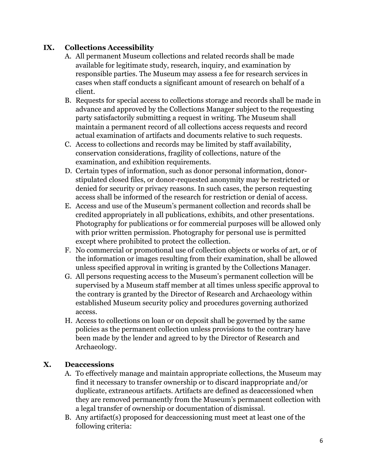### **IX. Collections Accessibility**

- A. All permanent Museum collections and related records shall be made available for legitimate study, research, inquiry, and examination by responsible parties. The Museum may assess a fee for research services in cases when staff conducts a significant amount of research on behalf of a client.
- B. Requests for special access to collections storage and records shall be made in advance and approved by the Collections Manager subject to the requesting party satisfactorily submitting a request in writing. The Museum shall maintain a permanent record of all collections access requests and record actual examination of artifacts and documents relative to such requests.
- C. Access to collections and records may be limited by staff availability, conservation considerations, fragility of collections, nature of the examination, and exhibition requirements.
- D. Certain types of information, such as donor personal information, donorstipulated closed files, or donor-requested anonymity may be restricted or denied for security or privacy reasons. In such cases, the person requesting access shall be informed of the research for restriction or denial of access.
- E. Access and use of the Museum's permanent collection and records shall be credited appropriately in all publications, exhibits, and other presentations. Photography for publications or for commercial purposes will be allowed only with prior written permission. Photography for personal use is permitted except where prohibited to protect the collection.
- F. No commercial or promotional use of collection objects or works of art, or of the information or images resulting from their examination, shall be allowed unless specified approval in writing is granted by the Collections Manager.
- G. All persons requesting access to the Museum's permanent collection will be supervised by a Museum staff member at all times unless specific approval to the contrary is granted by the Director of Research and Archaeology within established Museum security policy and procedures governing authorized access.
- H. Access to collections on loan or on deposit shall be governed by the same policies as the permanent collection unless provisions to the contrary have been made by the lender and agreed to by the Director of Research and Archaeology.

## **X. Deaccessions**

- A. To effectively manage and maintain appropriate collections, the Museum may find it necessary to transfer ownership or to discard inappropriate and/or duplicate, extraneous artifacts. Artifacts are defined as deaccessioned when they are removed permanently from the Museum's permanent collection with a legal transfer of ownership or documentation of dismissal.
- B. Any artifact(s) proposed for deaccessioning must meet at least one of the following criteria: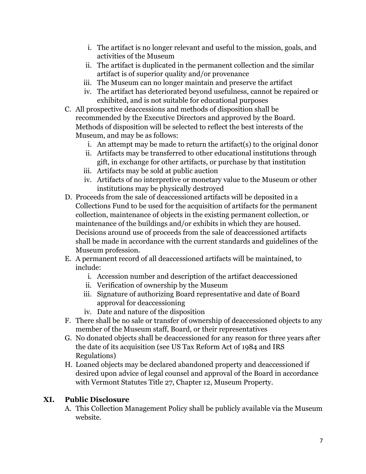- i. The artifact is no longer relevant and useful to the mission, goals, and activities of the Museum
- ii. The artifact is duplicated in the permanent collection and the similar artifact is of superior quality and/or provenance
- iii. The Museum can no longer maintain and preserve the artifact
- iv. The artifact has deteriorated beyond usefulness, cannot be repaired or exhibited, and is not suitable for educational purposes
- C. All prospective deaccessions and methods of disposition shall be recommended by the Executive Directors and approved by the Board. Methods of disposition will be selected to reflect the best interests of the Museum, and may be as follows:
	- i. An attempt may be made to return the artifact(s) to the original donor
	- ii. Artifacts may be transferred to other educational institutions through gift, in exchange for other artifacts, or purchase by that institution
	- iii. Artifacts may be sold at public auction
	- iv. Artifacts of no interpretive or monetary value to the Museum or other institutions may be physically destroyed
- D. Proceeds from the sale of deaccessioned artifacts will be deposited in a Collections Fund to be used for the acquisition of artifacts for the permanent collection, maintenance of objects in the existing permanent collection, or maintenance of the buildings and/or exhibits in which they are housed. Decisions around use of proceeds from the sale of deaccessioned artifacts shall be made in accordance with the current standards and guidelines of the Museum profession.
- E. A permanent record of all deaccessioned artifacts will be maintained, to include:
	- i. Accession number and description of the artifact deaccessioned
	- ii. Verification of ownership by the Museum
	- iii. Signature of authorizing Board representative and date of Board approval for deaccessioning
	- iv. Date and nature of the disposition
- F. There shall be no sale or transfer of ownership of deaccessioned objects to any member of the Museum staff, Board, or their representatives
- G. No donated objects shall be deaccessioned for any reason for three years after the date of its acquisition (see US Tax Reform Act of 1984 and IRS Regulations)
- H. Loaned objects may be declared abandoned property and deaccessioned if desired upon advice of legal counsel and approval of the Board in accordance with Vermont Statutes Title 27, Chapter 12, Museum Property.

### **XI. Public Disclosure**

A. This Collection Management Policy shall be publicly available via the Museum website.